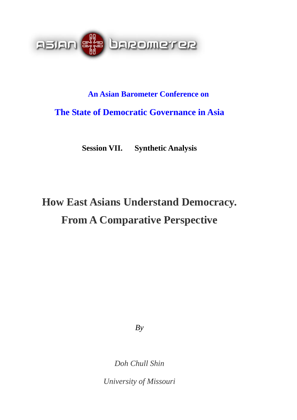

# **An Asian Barometer Conference on The State of Democratic Governance in Asia**

**Session VII. Synthetic Analysis** 

# **How East Asians Understand Democracy. From A Comparative Perspective**

*By* 

*Doh Chull Shin* 

*University of Missouri*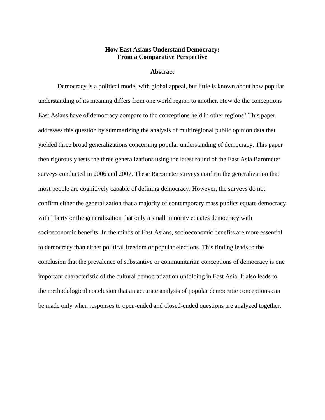# **How East Asians Understand Democracy: From a Comparative Perspective**

#### **Abstract**

 Democracy is a political model with global appeal, but little is known about how popular understanding of its meaning differs from one world region to another. How do the conceptions East Asians have of democracy compare to the conceptions held in other regions? This paper addresses this question by summarizing the analysis of multiregional public opinion data that yielded three broad generalizations concerning popular understanding of democracy. This paper then rigorously tests the three generalizations using the latest round of the East Asia Barometer surveys conducted in 2006 and 2007. These Barometer surveys confirm the generalization that most people are cognitively capable of defining democracy. However, the surveys do not confirm either the generalization that a majority of contemporary mass publics equate democracy with liberty or the generalization that only a small minority equates democracy with socioeconomic benefits. In the minds of East Asians, socioeconomic benefits are more essential to democracy than either political freedom or popular elections. This finding leads to the conclusion that the prevalence of substantive or communitarian conceptions of democracy is one important characteristic of the cultural democratization unfolding in East Asia. It also leads to the methodological conclusion that an accurate analysis of popular democratic conceptions can be made only when responses to open-ended and closed-ended questions are analyzed together.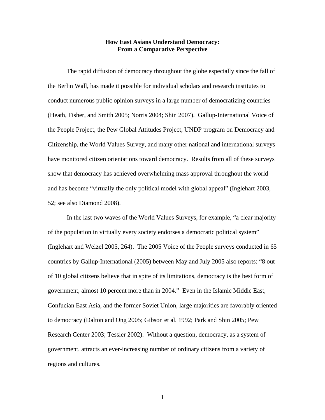# **How East Asians Understand Democracy: From a Comparative Perspective**

The rapid diffusion of democracy throughout the globe especially since the fall of the Berlin Wall, has made it possible for individual scholars and research institutes to conduct numerous public opinion surveys in a large number of democratizing countries (Heath, Fisher, and Smith 2005; Norris 2004; Shin 2007).Gallup-International Voice of the People Project, the Pew Global Attitudes Project, UNDP program on Democracy and Citizenship, the World Values Survey, and many other national and international surveys have monitored citizen orientations toward democracy. Results from all of these surveys show that democracy has achieved overwhelming mass approval throughout the world and has become "virtually the only political model with global appeal" (Inglehart 2003, 52; see also Diamond 2008).

In the last two waves of the World Values Surveys, for example, "a clear majority of the population in virtually every society endorses a democratic political system" (Inglehart and Welzel 2005, 264). The 2005 Voice of the People surveys conducted in 65 countries by Gallup-International (2005) between May and July 2005 also reports: "8 out of 10 global citizens believe that in spite of its limitations, democracy is the best form of government, almost 10 percent more than in 2004." Even in the Islamic Middle East, Confucian East Asia, and the former Soviet Union, large majorities are favorably oriented to democracy (Dalton and Ong 2005; Gibson et al. 1992; Park and Shin 2005; Pew Research Center 2003; Tessler 2002). Without a question, democracy, as a system of government, attracts an ever-increasing number of ordinary citizens from a variety of regions and cultures.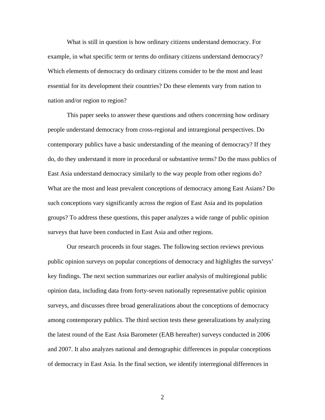What is still in question is how ordinary citizens understand democracy. For example, in what specific term or terms do ordinary citizens understand democracy? Which elements of democracy do ordinary citizens consider to be the most and least essential for its development their countries? Do these elements vary from nation to nation and/or region to region?

This paper seeks to answer these questions and others concerning how ordinary people understand democracy from cross-regional and intraregional perspectives. Do contemporary publics have a basic understanding of the meaning of democracy? If they do, do they understand it more in procedural or substantive terms? Do the mass publics of East Asia understand democracy similarly to the way people from other regions do? What are the most and least prevalent conceptions of democracy among East Asians? Do such conceptions vary significantly across the region of East Asia and its population groups? To address these questions, this paper analyzes a wide range of public opinion surveys that have been conducted in East Asia and other regions.

Our research proceeds in four stages. The following section reviews previous public opinion surveys on popular conceptions of democracy and highlights the surveys' key findings. The next section summarizes our earlier analysis of multiregional public opinion data, including data from forty-seven nationally representative public opinion surveys, and discusses three broad generalizations about the conceptions of democracy among contemporary publics. The third section tests these generalizations by analyzing the latest round of the East Asia Barometer (EAB hereafter) surveys conducted in 2006 and 2007. It also analyzes national and demographic differences in popular conceptions of democracy in East Asia. In the final section, we identify interregional differences in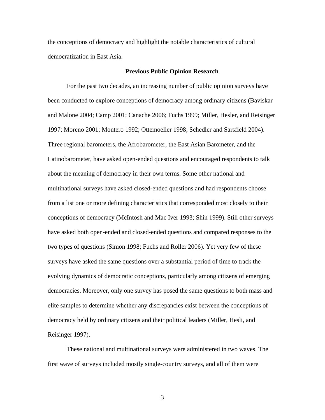the conceptions of democracy and highlight the notable characteristics of cultural democratization in East Asia.

#### **Previous Public Opinion Research**

For the past two decades, an increasing number of public opinion surveys have been conducted to explore conceptions of democracy among ordinary citizens (Baviskar and Malone 2004; Camp 2001; Canache 2006; Fuchs 1999; Miller, Hesler, and Reisinger 1997; Moreno 2001; Montero 1992; Ottemoeller 1998; Schedler and Sarsfield 2004). Three regional barometers, the Afrobarometer, the East Asian Barometer, and the Latinobarometer, have asked open-ended questions and encouraged respondents to talk about the meaning of democracy in their own terms. Some other national and multinational surveys have asked closed-ended questions and had respondents choose from a list one or more defining characteristics that corresponded most closely to their conceptions of democracy (McIntosh and Mac Iver 1993; Shin 1999). Still other surveys have asked both open-ended and closed-ended questions and compared responses to the two types of questions (Simon 1998; Fuchs and Roller 2006). Yet very few of these surveys have asked the same questions over a substantial period of time to track the evolving dynamics of democratic conceptions, particularly among citizens of emerging democracies. Moreover, only one survey has posed the same questions to both mass and elite samples to determine whether any discrepancies exist between the conceptions of democracy held by ordinary citizens and their political leaders (Miller, Hesli, and Reisinger 1997).

These national and multinational surveys were administered in two waves. The first wave of surveys included mostly single-country surveys, and all of them were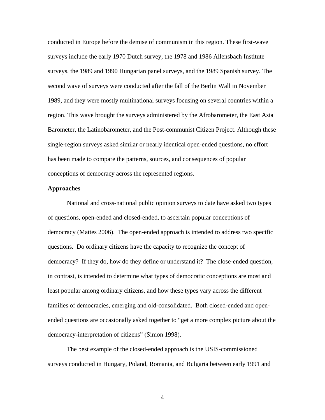conducted in Europe before the demise of communism in this region. These first-wave surveys include the early 1970 Dutch survey, the 1978 and 1986 Allensbach Institute surveys, the 1989 and 1990 Hungarian panel surveys, and the 1989 Spanish survey. The second wave of surveys were conducted after the fall of the Berlin Wall in November 1989, and they were mostly multinational surveys focusing on several countries within a region. This wave brought the surveys administered by the Afrobarometer, the East Asia Barometer, the Latinobarometer, and the Post-communist Citizen Project. Although these single-region surveys asked similar or nearly identical open-ended questions, no effort has been made to compare the patterns, sources, and consequences of popular conceptions of democracy across the represented regions.

#### **Approaches**

 National and cross-national public opinion surveys to date have asked two types of questions, open-ended and closed-ended, to ascertain popular conceptions of democracy (Mattes 2006). The open-ended approach is intended to address two specific questions. Do ordinary citizens have the capacity to recognize the concept of democracy? If they do, how do they define or understand it? The close-ended question, in contrast, is intended to determine what types of democratic conceptions are most and least popular among ordinary citizens, and how these types vary across the different families of democracies, emerging and old-consolidated. Both closed-ended and openended questions are occasionally asked together to "get a more complex picture about the democracy-interpretation of citizens" (Simon 1998).

The best example of the closed-ended approach is the USIS-commissioned surveys conducted in Hungary, Poland, Romania, and Bulgaria between early 1991 and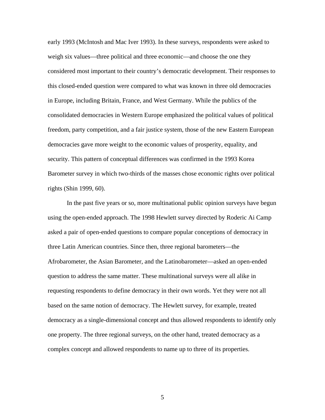early 1993 (McIntosh and Mac Iver 1993). In these surveys, respondents were asked to weigh six values—three political and three economic—and choose the one they considered most important to their country's democratic development. Their responses to this closed-ended question were compared to what was known in three old democracies in Europe, including Britain, France, and West Germany. While the publics of the consolidated democracies in Western Europe emphasized the political values of political freedom, party competition, and a fair justice system, those of the new Eastern European democracies gave more weight to the economic values of prosperity, equality, and security. This pattern of conceptual differences was confirmed in the 1993 Korea Barometer survey in which two-thirds of the masses chose economic rights over political rights (Shin 1999, 60).

In the past five years or so, more multinational public opinion surveys have begun using the open-ended approach. The 1998 Hewlett survey directed by Roderic Ai Camp asked a pair of open-ended questions to compare popular conceptions of democracy in three Latin American countries. Since then, three regional barometers—the Afrobarometer, the Asian Barometer, and the Latinobarometer—asked an open-ended question to address the same matter. These multinational surveys were all alike in requesting respondents to define democracy in their own words. Yet they were not all based on the same notion of democracy. The Hewlett survey, for example, treated democracy as a single-dimensional concept and thus allowed respondents to identify only one property. The three regional surveys, on the other hand, treated democracy as a complex concept and allowed respondents to name up to three of its properties.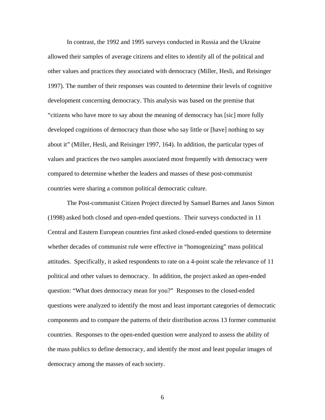In contrast, the 1992 and 1995 surveys conducted in Russia and the Ukraine allowed their samples of average citizens and elites to identify all of the political and other values and practices they associated with democracy (Miller, Hesli, and Reisinger 1997). The number of their responses was counted to determine their levels of cognitive development concerning democracy. This analysis was based on the premise that "citizens who have more to say about the meaning of democracy has [sic] more fully developed cognitions of democracy than those who say little or [have] nothing to say about it" (Miller, Hesli, and Reisinger 1997, 164). In addition, the particular types of values and practices the two samples associated most frequently with democracy were compared to determine whether the leaders and masses of these post-communist countries were sharing a common political democratic culture.

The Post-communist Citizen Project directed by Samuel Barnes and Janos Simon (1998) asked both closed and open-ended questions. Their surveys conducted in 11 Central and Eastern European countries first asked closed-ended questions to determine whether decades of communist rule were effective in "homogenizing" mass political attitudes. Specifically, it asked respondents to rate on a 4-point scale the relevance of 11 political and other values to democracy. In addition, the project asked an open-ended question: "What does democracy mean for you?" Responses to the closed-ended questions were analyzed to identify the most and least important categories of democratic components and to compare the patterns of their distribution across 13 former communist countries. Responses to the open-ended question were analyzed to assess the ability of the mass publics to define democracy, and identify the most and least popular images of democracy among the masses of each society.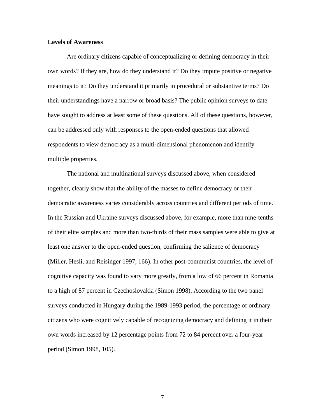## **Levels of Awareness**

Are ordinary citizens capable of conceptualizing or defining democracy in their own words? If they are, how do they understand it? Do they impute positive or negative meanings to it? Do they understand it primarily in procedural or substantive terms? Do their understandings have a narrow or broad basis? The public opinion surveys to date have sought to address at least some of these questions. All of these questions, however, can be addressed only with responses to the open-ended questions that allowed respondents to view democracy as a multi-dimensional phenomenon and identify multiple properties.

 The national and multinational surveys discussed above, when considered together, clearly show that the ability of the masses to define democracy or their democratic awareness varies considerably across countries and different periods of time. In the Russian and Ukraine surveys discussed above, for example, more than nine-tenths of their elite samples and more than two-thirds of their mass samples were able to give at least one answer to the open-ended question, confirming the salience of democracy (Miller, Hesli, and Reisinger 1997, 166). In other post-communist countries, the level of cognitive capacity was found to vary more greatly, from a low of 66 percent in Romania to a high of 87 percent in Czechoslovakia (Simon 1998). According to the two panel surveys conducted in Hungary during the 1989-1993 period, the percentage of ordinary citizens who were cognitively capable of recognizing democracy and defining it in their own words increased by 12 percentage points from 72 to 84 percent over a four-year period (Simon 1998, 105).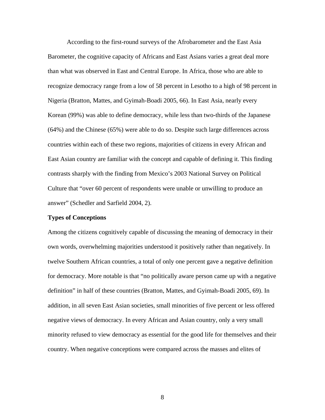According to the first-round surveys of the Afrobarometer and the East Asia Barometer, the cognitive capacity of Africans and East Asians varies a great deal more than what was observed in East and Central Europe. In Africa, those who are able to recognize democracy range from a low of 58 percent in Lesotho to a high of 98 percent in Nigeria (Bratton, Mattes, and Gyimah-Boadi 2005, 66). In East Asia, nearly every Korean (99%) was able to define democracy, while less than two-thirds of the Japanese (64%) and the Chinese (65%) were able to do so. Despite such large differences across countries within each of these two regions, majorities of citizens in every African and East Asian country are familiar with the concept and capable of defining it. This finding contrasts sharply with the finding from Mexico's 2003 National Survey on Political Culture that "over 60 percent of respondents were unable or unwilling to produce an answer" (Schedler and Sarfield 2004, 2).

#### **Types of Conceptions**

Among the citizens cognitively capable of discussing the meaning of democracy in their own words, overwhelming majorities understood it positively rather than negatively. In twelve Southern African countries, a total of only one percent gave a negative definition for democracy. More notable is that "no politically aware person came up with a negative definition" in half of these countries (Bratton, Mattes, and Gyimah-Boadi 2005, 69). In addition, in all seven East Asian societies, small minorities of five percent or less offered negative views of democracy. In every African and Asian country, only a very small minority refused to view democracy as essential for the good life for themselves and their country. When negative conceptions were compared across the masses and elites of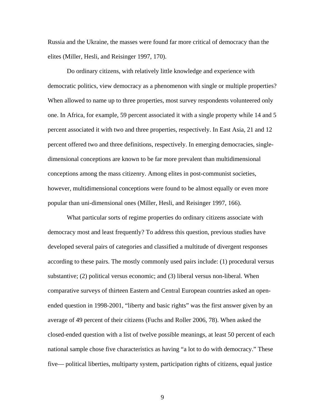Russia and the Ukraine, the masses were found far more critical of democracy than the elites (Miller, Hesli, and Reisinger 1997, 170).

 Do ordinary citizens, with relatively little knowledge and experience with democratic politics, view democracy as a phenomenon with single or multiple properties? When allowed to name up to three properties, most survey respondents volunteered only one. In Africa, for example, 59 percent associated it with a single property while 14 and 5 percent associated it with two and three properties, respectively. In East Asia, 21 and 12 percent offered two and three definitions, respectively. In emerging democracies, singledimensional conceptions are known to be far more prevalent than multidimensional conceptions among the mass citizenry. Among elites in post-communist societies, however, multidimensional conceptions were found to be almost equally or even more popular than uni-dimensional ones (Miller, Hesli, and Reisinger 1997, 166).

 What particular sorts of regime properties do ordinary citizens associate with democracy most and least frequently? To address this question, previous studies have developed several pairs of categories and classified a multitude of divergent responses according to these pairs. The mostly commonly used pairs include: (1) procedural versus substantive; (2) political versus economic; and (3) liberal versus non-liberal. When comparative surveys of thirteen Eastern and Central European countries asked an openended question in 1998-2001, "liberty and basic rights" was the first answer given by an average of 49 percent of their citizens (Fuchs and Roller 2006, 78). When asked the closed-ended question with a list of twelve possible meanings, at least 50 percent of each national sample chose five characteristics as having "a lot to do with democracy." These five— political liberties, multiparty system, participation rights of citizens, equal justice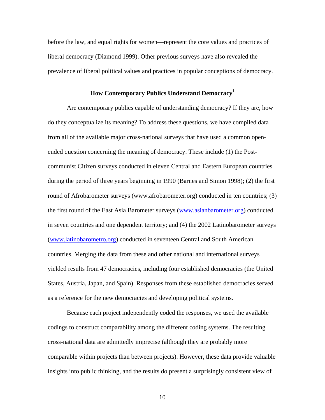before the law, and equal rights for women—represent the core values and practices of liberal democracy (Diamond 1999). Other previous surveys have also revealed the prevalence of liberal political values and practices in popular conceptions of democracy.

# **How Contemporary Publics Understand Democracy**<sup>1</sup>

Are contemporary publics capable of understanding democracy? If they are, how do they conceptualize its meaning? To address these questions, we have compiled data from all of the available major cross-national surveys that have used a common openended question concerning the meaning of democracy. These include (1) the Postcommunist Citizen surveys conducted in eleven Central and Eastern European countries during the period of three years beginning in 1990 (Barnes and Simon 1998); (2) the first round of Afrobarometer surveys (www.afrobarometer.org) conducted in ten countries; (3) the first round of the East Asia Barometer surveys ([www.asianbarometer.org\)](http://www.asianbarometer.org/) conducted in seven countries and one dependent territory; and (4) the 2002 Latinobarometer surveys ([www.latinobarometro.org\)](http://www.latinobarometro.org/) conducted in seventeen Central and South American countries. Merging the data from these and other national and international surveys yielded results from 47 democracies, including four established democracies (the United States, Austria, Japan, and Spain). Responses from these established democracies served as a reference for the new democracies and developing political systems.

Because each project independently coded the responses, we used the available codings to construct comparability among the different coding systems. The resulting cross-national data are admittedly imprecise (although they are probably more comparable within projects than between projects). However, these data provide valuable insights into public thinking, and the results do present a surprisingly consistent view of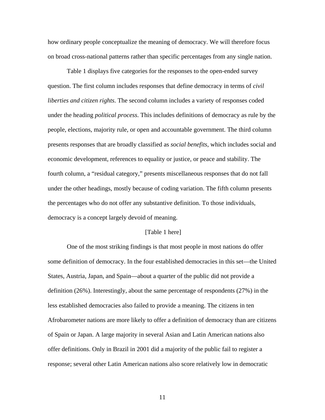how ordinary people conceptualize the meaning of democracy. We will therefore focus on broad cross-national patterns rather than specific percentages from any single nation.

Table 1 displays five categories for the responses to the open-ended survey question. The first column includes responses that define democracy in terms of *civil liberties and citizen rights*. The second column includes a variety of responses coded under the heading *political process*. This includes definitions of democracy as rule by the people, elections, majority rule, or open and accountable government. The third column presents responses that are broadly classified as *social benefits*, which includes social and economic development, references to equality or justice, or peace and stability. The fourth column, a "residual category," presents miscellaneous responses that do not fall under the other headings, mostly because of coding variation. The fifth column presents the percentages who do not offer any substantive definition. To those individuals, democracy is a concept largely devoid of meaning.

#### [Table 1 here]

One of the most striking findings is that most people in most nations do offer some definition of democracy. In the four established democracies in this set—the United States, Austria, Japan, and Spain—about a quarter of the public did not provide a definition (26%). Interestingly, about the same percentage of respondents (27%) in the less established democracies also failed to provide a meaning. The citizens in ten Afrobarometer nations are more likely to offer a definition of democracy than are citizens of Spain or Japan. A large majority in several Asian and Latin American nations also offer definitions. Only in Brazil in 2001 did a majority of the public fail to register a response; several other Latin American nations also score relatively low in democratic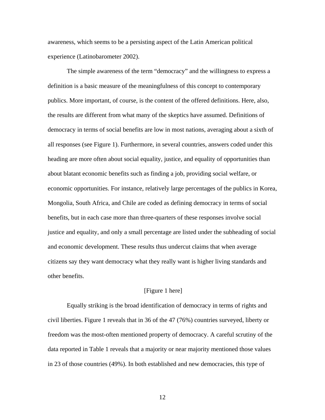awareness, which seems to be a persisting aspect of the Latin American political experience (Latinobarometer 2002).

The simple awareness of the term "democracy" and the willingness to express a definition is a basic measure of the meaningfulness of this concept to contemporary publics. More important, of course, is the content of the offered definitions. Here, also, the results are different from what many of the skeptics have assumed. Definitions of democracy in terms of social benefits are low in most nations, averaging about a sixth of all responses (see Figure 1). Furthermore, in several countries, answers coded under this heading are more often about social equality, justice, and equality of opportunities than about blatant economic benefits such as finding a job, providing social welfare, or economic opportunities. For instance, relatively large percentages of the publics in Korea, Mongolia, South Africa, and Chile are coded as defining democracy in terms of social benefits, but in each case more than three-quarters of these responses involve social justice and equality, and only a small percentage are listed under the subheading of social and economic development. These results thus undercut claims that when average citizens say they want democracy what they really want is higher living standards and other benefits.

#### [Figure 1 here]

Equally striking is the broad identification of democracy in terms of rights and civil liberties. Figure 1 reveals that in 36 of the 47 (76%) countries surveyed, liberty or freedom was the most-often mentioned property of democracy. A careful scrutiny of the data reported in Table 1 reveals that a majority or near majority mentioned those values in 23 of those countries (49%). In both established and new democracies, this type of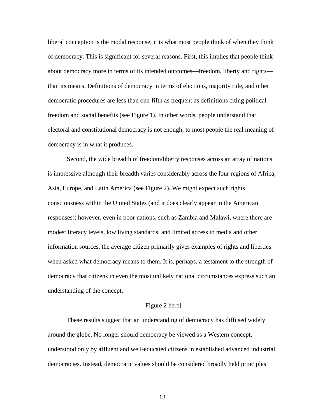liberal conception is the modal response; it is what most people think of when they think of democracy. This is significant for several reasons. First, this implies that people think about democracy more in terms of its intended outcomes—freedom, liberty and rights than its means. Definitions of democracy in terms of elections, majority rule, and other democratic procedures are less than one-fifth as frequent as definitions citing political freedom and social benefits (see Figure 1). In other words, people understand that electoral and constitutional democracy is not enough; to most people the real meaning of democracy is in what it produces.

Second, the wide breadth of freedom/liberty responses across an array of nations is impressive although their breadth varies considerably across the four regions of Africa, Asia, Europe, and Latin America (see Figure 2). We might expect such rights consciousness within the United States (and it does clearly appear in the American responses); however, even in poor nations, such as Zambia and Malawi, where there are modest literacy levels, low living standards, and limited access to media and other information sources, the average citizen primarily gives examples of rights and liberties when asked what democracy means to them. It is, perhaps, a testament to the strength of democracy that citizens in even the most unlikely national circumstances express such an understanding of the concept.

#### [Figure 2 here]

These results suggest that an understanding of democracy has diffused widely around the globe. No longer should democracy be viewed as a Western concept, understood only by affluent and well-educated citizens in established advanced industrial democracies. Instead, democratic values should be considered broadly held principles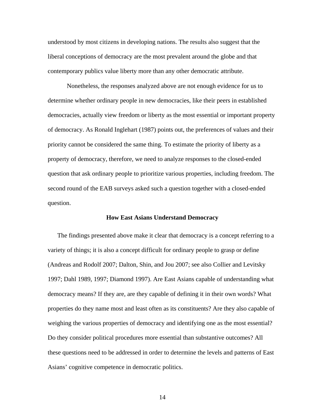understood by most citizens in developing nations. The results also suggest that the liberal conceptions of democracy are the most prevalent around the globe and that contemporary publics value liberty more than any other democratic attribute.

Nonetheless, the responses analyzed above are not enough evidence for us to determine whether ordinary people in new democracies, like their peers in established democracies, actually view freedom or liberty as the most essential or important property of democracy. As Ronald Inglehart (1987) points out, the preferences of values and their priority cannot be considered the same thing. To estimate the priority of liberty as a property of democracy, therefore, we need to analyze responses to the closed-ended question that ask ordinary people to prioritize various properties, including freedom. The second round of the EAB surveys asked such a question together with a closed-ended question.

#### **How East Asians Understand Democracy**

The findings presented above make it clear that democracy is a concept referring to a variety of things; it is also a concept difficult for ordinary people to grasp or define (Andreas and Rodolf 2007; Dalton, Shin, and Jou 2007; see also Collier and Levitsky 1997; Dahl 1989, 1997; Diamond 1997). Are East Asians capable of understanding what democracy means? If they are, are they capable of defining it in their own words? What properties do they name most and least often as its constituents? Are they also capable of weighing the various properties of democracy and identifying one as the most essential? Do they consider political procedures more essential than substantive outcomes? All these questions need to be addressed in order to determine the levels and patterns of East Asians' cognitive competence in democratic politics.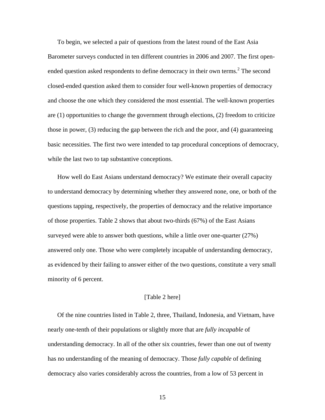To begin, we selected a pair of questions from the latest round of the East Asia Barometer surveys conducted in ten different countries in 2006 and 2007. The first openended question asked respondents to define democracy in their own terms.<sup>2</sup> The second closed-ended question asked them to consider four well-known properties of democracy and choose the one which they considered the most essential. The well-known properties are (1) opportunities to change the government through elections, (2) freedom to criticize those in power, (3) reducing the gap between the rich and the poor, and (4) guaranteeing basic necessities. The first two were intended to tap procedural conceptions of democracy, while the last two to tap substantive conceptions.

How well do East Asians understand democracy? We estimate their overall capacity to understand democracy by determining whether they answered none, one, or both of the questions tapping, respectively, the properties of democracy and the relative importance of those properties. Table 2 shows that about two-thirds (67%) of the East Asians surveyed were able to answer both questions, while a little over one-quarter (27%) answered only one. Those who were completely incapable of understanding democracy, as evidenced by their failing to answer either of the two questions, constitute a very small minority of 6 percent.

## [Table 2 here]

Of the nine countries listed in Table 2, three, Thailand, Indonesia, and Vietnam, have nearly one-tenth of their populations or slightly more that are *fully incapable* of understanding democracy. In all of the other six countries, fewer than one out of twenty has no understanding of the meaning of democracy. Those *fully capable* of defining democracy also varies considerably across the countries, from a low of 53 percent in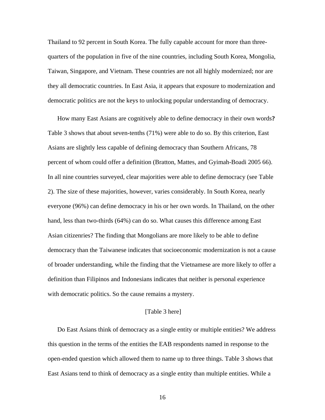Thailand to 92 percent in South Korea. The fully capable account for more than threequarters of the population in five of the nine countries, including South Korea, Mongolia, Taiwan, Singapore, and Vietnam. These countries are not all highly modernized; nor are they all democratic countries. In East Asia, it appears that exposure to modernization and democratic politics are not the keys to unlocking popular understanding of democracy.

How many East Asians are cognitively able to define democracy in their own words**?**  Table 3 shows that about seven-tenths (71%) were able to do so. By this criterion, East Asians are slightly less capable of defining democracy than Southern Africans, 78 percent of whom could offer a definition (Bratton, Mattes, and Gyimah-Boadi 2005 66). In all nine countries surveyed, clear majorities were able to define democracy (see Table 2). The size of these majorities, however, varies considerably. In South Korea, nearly everyone (96%) can define democracy in his or her own words. In Thailand, on the other hand, less than two-thirds (64%) can do so. What causes this difference among East Asian citizenries? The finding that Mongolians are more likely to be able to define democracy than the Taiwanese indicates that socioeconomic modernization is not a cause of broader understanding, while the finding that the Vietnamese are more likely to offer a definition than Filipinos and Indonesians indicates that neither is personal experience with democratic politics. So the cause remains a mystery.

# [Table 3 here]

Do East Asians think of democracy as a single entity or multiple entities? We address this question in the terms of the entities the EAB respondents named in response to the open-ended question which allowed them to name up to three things. Table 3 shows that East Asians tend to think of democracy as a single entity than multiple entities. While a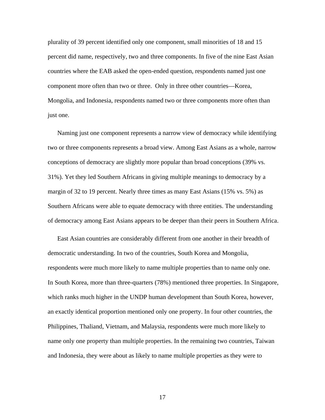plurality of 39 percent identified only one component, small minorities of 18 and 15 percent did name, respectively, two and three components. In five of the nine East Asian countries where the EAB asked the open-ended question, respondents named just one component more often than two or three. Only in three other countries—Korea, Mongolia, and Indonesia, respondents named two or three components more often than just one.

Naming just one component represents a narrow view of democracy while identifying two or three components represents a broad view. Among East Asians as a whole, narrow conceptions of democracy are slightly more popular than broad conceptions (39% vs. 31%). Yet they led Southern Africans in giving multiple meanings to democracy by a margin of 32 to 19 percent. Nearly three times as many East Asians (15% vs. 5%) as Southern Africans were able to equate democracy with three entities. The understanding of democracy among East Asians appears to be deeper than their peers in Southern Africa.

East Asian countries are considerably different from one another in their breadth of democratic understanding. In two of the countries, South Korea and Mongolia, respondents were much more likely to name multiple properties than to name only one. In South Korea, more than three-quarters (78%) mentioned three properties. In Singapore, which ranks much higher in the UNDP human development than South Korea, however, an exactly identical proportion mentioned only one property. In four other countries, the Philippines, Thaliand, Vietnam, and Malaysia, respondents were much more likely to name only one property than multiple properties. In the remaining two countries, Taiwan and Indonesia, they were about as likely to name multiple properties as they were to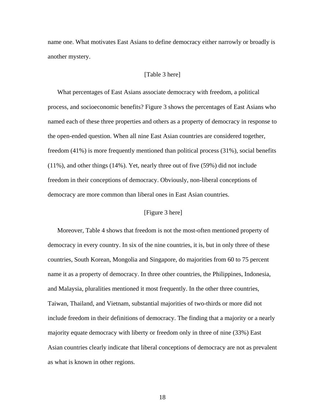name one. What motivates East Asians to define democracy either narrowly or broadly is another mystery.

#### [Table 3 here]

What percentages of East Asians associate democracy with freedom, a political process, and socioeconomic benefits? Figure 3 shows the percentages of East Asians who named each of these three properties and others as a property of democracy in response to the open-ended question. When all nine East Asian countries are considered together, freedom (41%) is more frequently mentioned than political process (31%), social benefits (11%), and other things (14%). Yet, nearly three out of five (59%) did not include freedom in their conceptions of democracy. Obviously, non-liberal conceptions of democracy are more common than liberal ones in East Asian countries.

# [Figure 3 here]

Moreover, Table 4 shows that freedom is not the most-often mentioned property of democracy in every country. In six of the nine countries, it is, but in only three of these countries, South Korean, Mongolia and Singapore, do majorities from 60 to 75 percent name it as a property of democracy. In three other countries, the Philippines, Indonesia, and Malaysia, pluralities mentioned it most frequently. In the other three countries, Taiwan, Thailand, and Vietnam, substantial majorities of two-thirds or more did not include freedom in their definitions of democracy. The finding that a majority or a nearly majority equate democracy with liberty or freedom only in three of nine (33%) East Asian countries clearly indicate that liberal conceptions of democracy are not as prevalent as what is known in other regions.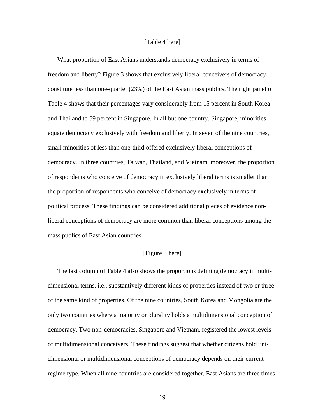#### [Table 4 here]

What proportion of East Asians understands democracy exclusively in terms of freedom and liberty? Figure 3 shows that exclusively liberal conceivers of democracy constitute less than one-quarter (23%) of the East Asian mass publics. The right panel of Table 4 shows that their percentages vary considerably from 15 percent in South Korea and Thailand to 59 percent in Singapore. In all but one country, Singapore, minorities equate democracy exclusively with freedom and liberty. In seven of the nine countries, small minorities of less than one-third offered exclusively liberal conceptions of democracy. In three countries, Taiwan, Thailand, and Vietnam, moreover, the proportion of respondents who conceive of democracy in exclusively liberal terms is smaller than the proportion of respondents who conceive of democracy exclusively in terms of political process. These findings can be considered additional pieces of evidence nonliberal conceptions of democracy are more common than liberal conceptions among the mass publics of East Asian countries.

## [Figure 3 here]

The last column of Table 4 also shows the proportions defining democracy in multidimensional terms, i.e., substantively different kinds of properties instead of two or three of the same kind of properties. Of the nine countries, South Korea and Mongolia are the only two countries where a majority or plurality holds a multidimensional conception of democracy. Two non-democracies, Singapore and Vietnam, registered the lowest levels of multidimensional conceivers. These findings suggest that whether citizens hold unidimensional or multidimensional conceptions of democracy depends on their current regime type. When all nine countries are considered together, East Asians are three times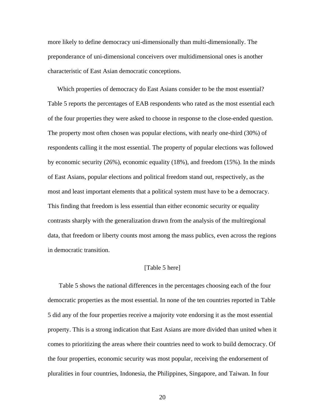more likely to define democracy uni-dimensionally than multi-dimensionally. The preponderance of uni-dimensional conceivers over multidimensional ones is another characteristic of East Asian democratic conceptions.

Which properties of democracy do East Asians consider to be the most essential? Table 5 reports the percentages of EAB respondents who rated as the most essential each of the four properties they were asked to choose in response to the close-ended question. The property most often chosen was popular elections, with nearly one-third (30%) of respondents calling it the most essential. The property of popular elections was followed by economic security (26%), economic equality (18%), and freedom (15%). In the minds of East Asians, popular elections and political freedom stand out, respectively, as the most and least important elements that a political system must have to be a democracy. This finding that freedom is less essential than either economic security or equality contrasts sharply with the generalization drawn from the analysis of the multiregional data, that freedom or liberty counts most among the mass publics, even across the regions in democratic transition.

# [Table 5 here]

 Table 5 shows the national differences in the percentages choosing each of the four democratic properties as the most essential. In none of the ten countries reported in Table 5 did any of the four properties receive a majority vote endorsing it as the most essential property. This is a strong indication that East Asians are more divided than united when it comes to prioritizing the areas where their countries need to work to build democracy. Of the four properties, economic security was most popular, receiving the endorsement of pluralities in four countries, Indonesia, the Philippines, Singapore, and Taiwan. In four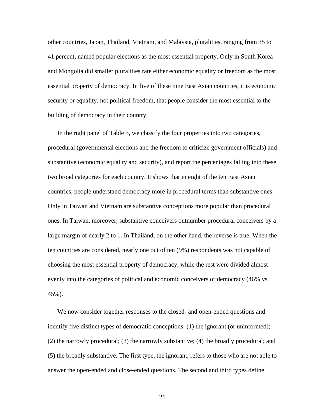other countries, Japan, Thailand, Vietnam, and Malaysia, pluralities, ranging from 35 to 41 percent, named popular elections as the most essential property. Only in South Korea and Mongolia did smaller pluralities rate either economic equality or freedom as the most essential property of democracy. In five of these nine East Asian countries, it is economic security or equality, not political freedom, that people consider the most essential to the building of democracy in their country.

In the right panel of Table 5, we classify the four properties into two categories, procedural (governmental elections and the freedom to criticize government officials) and substantive (economic equality and security), and report the percentages falling into these two broad categories for each country. It shows that in eight of the ten East Asian countries, people understand democracy more in procedural terms than substantive ones. Only in Taiwan and Vietnam are substantive conceptions more popular than procedural ones. In Taiwan, moreover, substantive conceivers outnumber procedural conceivers by a large margin of nearly 2 to 1. In Thailand, on the other hand, the reverse is true. When the ten countries are considered, nearly one out of ten (9%) respondents was not capable of choosing the most essential property of democracy, while the rest were divided almost evenly into the categories of political and economic conceivers of democracy (46% vs. 45%).

We now consider together responses to the closed- and open-ended questions and identify five distinct types of democratic conceptions: (1) the ignorant (or uninformed); (2) the narrowly procedural; (3) the narrowly substantive; (4) the broadly procedural; and (5) the broadly substantive. The first type, the ignorant, refers to those who are not able to answer the open-ended and close-ended questions. The second and third types define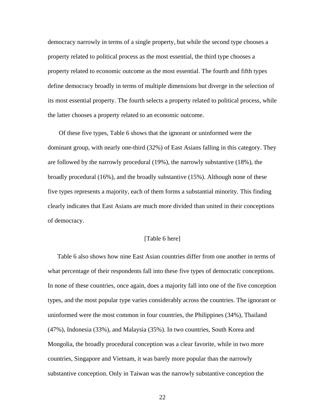democracy narrowly in terms of a single property, but while the second type chooses a property related to political process as the most essential, the third type chooses a property related to economic outcome as the most essential. The fourth and fifth types define democracy broadly in terms of multiple dimensions but diverge in the selection of its most essential property. The fourth selects a property related to political process, while the latter chooses a property related to an economic outcome.

 Of these five types, Table 6 shows that the ignorant or uninformed were the dominant group, with nearly one-third (32%) of East Asians falling in this category. They are followed by the narrowly procedural (19%), the narrowly substantive (18%), the broadly procedural (16%), and the broadly substantive (15%). Although none of these five types represents a majority, each of them forms a substantial minority. This finding clearly indicates that East Asians are much more divided than united in their conceptions of democracy.

# [Table 6 here]

Table 6 also shows how nine East Asian countries differ from one another in terms of what percentage of their respondents fall into these five types of democratic conceptions. In none of these countries, once again, does a majority fall into one of the five conception types, and the most popular type varies considerably across the countries. The ignorant or uninformed were the most common in four countries, the Philippines (34%), Thailand (47%), Indonesia (33%), and Malaysia (35%). In two countries, South Korea and Mongolia, the broadly procedural conception was a clear favorite, while in two more countries, Singapore and Vietnam, it was barely more popular than the narrowly substantive conception. Only in Taiwan was the narrowly substantive conception the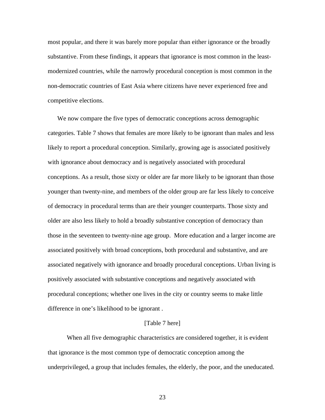most popular, and there it was barely more popular than either ignorance or the broadly substantive. From these findings, it appears that ignorance is most common in the leastmodernized countries, while the narrowly procedural conception is most common in the non-democratic countries of East Asia where citizens have never experienced free and competitive elections.

We now compare the five types of democratic conceptions across demographic categories. Table 7 shows that females are more likely to be ignorant than males and less likely to report a procedural conception. Similarly, growing age is associated positively with ignorance about democracy and is negatively associated with procedural conceptions. As a result, those sixty or older are far more likely to be ignorant than those younger than twenty-nine, and members of the older group are far less likely to conceive of democracy in procedural terms than are their younger counterparts. Those sixty and older are also less likely to hold a broadly substantive conception of democracy than those in the seventeen to twenty-nine age group. More education and a larger income are associated positively with broad conceptions, both procedural and substantive, and are associated negatively with ignorance and broadly procedural conceptions. Urban living is positively associated with substantive conceptions and negatively associated with procedural conceptions; whether one lives in the city or country seems to make little difference in one's likelihood to be ignorant .

## [Table 7 here]

 When all five demographic characteristics are considered together, it is evident that ignorance is the most common type of democratic conception among the underprivileged, a group that includes females, the elderly, the poor, and the uneducated.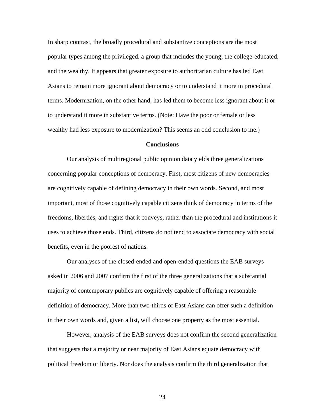In sharp contrast, the broadly procedural and substantive conceptions are the most popular types among the privileged, a group that includes the young, the college-educated, and the wealthy. It appears that greater exposure to authoritarian culture has led East Asians to remain more ignorant about democracy or to understand it more in procedural terms. Modernization, on the other hand, has led them to become less ignorant about it or to understand it more in substantive terms. (Note: Have the poor or female or less wealthy had less exposure to modernization? This seems an odd conclusion to me.)

#### **Conclusions**

Our analysis of multiregional public opinion data yields three generalizations concerning popular conceptions of democracy. First, most citizens of new democracies are cognitively capable of defining democracy in their own words. Second, and most important, most of those cognitively capable citizens think of democracy in terms of the freedoms, liberties, and rights that it conveys, rather than the procedural and institutions it uses to achieve those ends. Third, citizens do not tend to associate democracy with social benefits, even in the poorest of nations.

Our analyses of the closed-ended and open-ended questions the EAB surveys asked in 2006 and 2007 confirm the first of the three generalizations that a substantial majority of contemporary publics are cognitively capable of offering a reasonable definition of democracy. More than two-thirds of East Asians can offer such a definition in their own words and, given a list, will choose one property as the most essential.

However, analysis of the EAB surveys does not confirm the second generalization that suggests that a majority or near majority of East Asians equate democracy with political freedom or liberty. Nor does the analysis confirm the third generalization that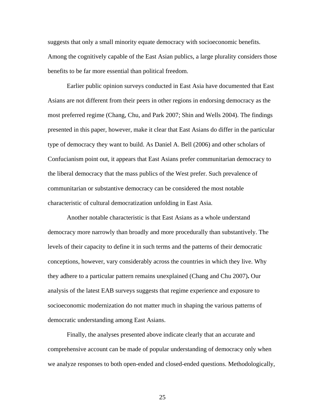suggests that only a small minority equate democracy with socioeconomic benefits. Among the cognitively capable of the East Asian publics, a large plurality considers those benefits to be far more essential than political freedom.

Earlier public opinion surveys conducted in East Asia have documented that East Asians are not different from their peers in other regions in endorsing democracy as the most preferred regime (Chang, Chu, and Park 2007; Shin and Wells 2004). The findings presented in this paper, however, make it clear that East Asians do differ in the particular type of democracy they want to build. As Daniel A. Bell (2006) and other scholars of Confucianism point out, it appears that East Asians prefer communitarian democracy to the liberal democracy that the mass publics of the West prefer. Such prevalence of communitarian or substantive democracy can be considered the most notable characteristic of cultural democratization unfolding in East Asia.

Another notable characteristic is that East Asians as a whole understand democracy more narrowly than broadly and more procedurally than substantively. The levels of their capacity to define it in such terms and the patterns of their democratic conceptions, however, vary considerably across the countries in which they live. Why they adhere to a particular pattern remains unexplained (Chang and Chu 2007)**.** Our analysis of the latest EAB surveys suggests that regime experience and exposure to socioeconomic modernization do not matter much in shaping the various patterns of democratic understanding among East Asians.

Finally, the analyses presented above indicate clearly that an accurate and comprehensive account can be made of popular understanding of democracy only when we analyze responses to both open-ended and closed-ended questions. Methodologically,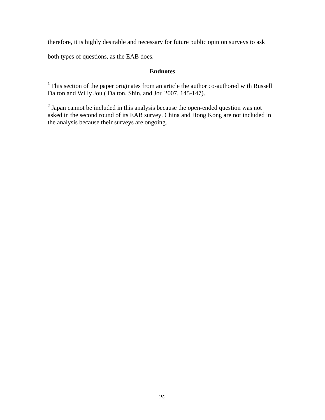therefore, it is highly desirable and necessary for future public opinion surveys to ask

both types of questions, as the EAB does.

# **Endnotes**

<sup>1</sup> This section of the paper originates from an article the author co-authored with Russell Dalton and Willy Jou ( Dalton, Shin, and Jou 2007, 145-147).

 $2^{2}$  Japan cannot be included in this analysis because the open-ended question was not asked in the second round of its EAB survey. China and Hong Kong are not included in the analysis because their surveys are ongoing.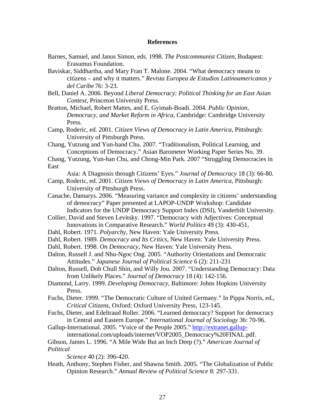#### **References**

- Barnes, Samuel, and Janos Simon, eds. 1998. *The Postcommunist Citizen*, Budapest: Erasumus Foundation.
- Baviskar, Siddhartha, and Mary Fran T. Malone. 2004. "What democracy means to citizens – and why it matters." *Revista Europea de Estudios Latinoamericanos y del Caribe* 76: 3-23.
- Bell, Daniel A. 2006. Beyond *Liberal Democracy: Political Thinking for an East Asian Context*, Princeton University Press.
- Bratton, Michael, Robert Mattes, and E. Gyimah-Boadi. 2004. *Public Opinion, Democracy, and Market Reform in Africa*, Cambridge: Cambridge University Press.
- Camp, Roderic, ed. 2001. *Citizen Views of Democracy in Latin America*, Pittsburgh: University of Pittsburgh Press.
- Chang, Yutzung and Yun-hand Chu. 2007. "Traditionalism, Political Learning, and Conceptions of Democracy." Asian Barometer Working Paper Series No. 39.
- Chang, Yutzung, Yun-han Chu, and Chong-Min Park. 2007 "Struggling Democracies in East
	- Asia: A Diagnosis through Citizens' Eyes." *Journal of Democracy* 18 (3): 66-80*.*
- Camp, Roderic, ed. 2001. *Citizen Views of Democracy in Latin America*, Pittsburgh: University of Pittsburgh Press.
- Canache, Damarys. 2006. "Measuring variance and complexity in citizens' understanding of democracy" Paper presented at LAPOP-UNDP Workshop: Candidate Indicators for the UNDP Democracy Support Index (DSI), Vanderbilt University.
- Collier, David and Steven Levitsky. 1997. "Democracy with Adjectives: Conceptual Innovations in Comparative Research." *World Politics* 49 (3): 430-451,
- Dahl, Robert. 1971. *Polyarchy*, New Haven: Yale University Press.
- Dahl, Robert. 1989. *Democracy and Its Critics*, New Haven: Yale University Press.
- Dahl, Robert. 1998. *On Democracy*, New Haven: Yale University Press.
- Dalton, Russell J. and Nhu-Ngoc Ong. 2005. "Authority Orientations and Democratic Attitudes." *Japanese Journal of Political Science* 6 (2): 211-231
- Dalton, Russell, Doh Chull Shin, and Willy Jou. 2007. "Understanding Democracy: Data from Unlikely Places." *Journal of Democracy* 18 (4): 142-156.
- Diamond, Larry. 1999. *Developing Democracy*, Baltimore: Johns Hopkins University Press.
- Fuchs, Dieter. 1999. "The Democratic Culture of United Germany." In Pippa Norris, ed., *Critical Citizens*, Oxford: Oxford University Press, 123-145.
- Fuchs, Dieter, and Edeltraud Roller. 2006. "Learned democracy? Support for democracy in Central and Eastern Europe." *International Journal of Sociology* 36: 70-96.
- Gallup-International. 2005. "Voice of the People 2005." [http://extranet.gallup-](http://extranet.gallup-/)

international.com/uploads/internet/VOP2005\_Democracy%20FINAL.pdf.

Gibson, James L. 1996. "A Mile Wide But an Inch Deep (?)." *American Journal of Political* 

 *Science* 40 (2): 396-420.

Heath, Anthony, Stephen Fisher, and Shawna Smith. 2005. "The Globalization of Public Opinion Research." *Annual Review of Political Science* 8: 297-331.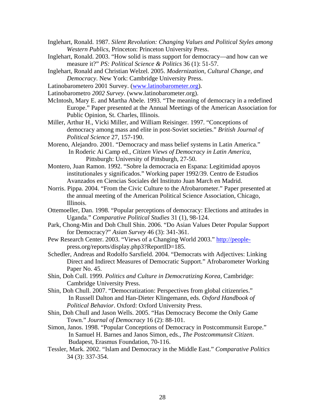- Inglehart, Ronald. 1987. *Silent Revolution: Changing Values and Political Styles among Western Publics,* Princeton: Princeton University Press.
- Inglehart, Ronald. 2003. "How solid is mass support for democracy—and how can we measure it?" *PS: Political Science & Politics* 36 (1): 51-57.
- Inglehart, Ronald and Christian Welzel. 2005. *Modernization, Cultural Change, and Democracy*. New York: Cambridge University Press.
- Latinobarometero 2001 Survey. ([www.latinobarometer.org\)](http://www.latinobarometer.org/).
- Latinobarometro *2002 Survey*. (www.latinobarometer.org).
- McIntosh, Mary E. and Martha Abele. 1993. "The meaning of democracy in a redefined Europe." Paper presented at the Annual Meetings of the American Association for Public Opinion, St. Charles, Illinois.
- Miller, Arthur H., Vicki Miller, and William Reisinger. 1997. "Conceptions of democracy among mass and elite in post-Soviet societies." *British Journal of Political Science* 27, 157-190.
- Moreno, Alejandro. 2001. "Democracy and mass belief systems in Latin America." In Roderic Ai Camp ed., *Citizen Views of Democracy in Latin America*, Pittsburgh: University of Pittsburgh, 27-50.
- Montero, Juan Ramon. 1992. "Sobre la democracia en Espana: Legitimidad apoyos institutionales y significados." Working paper 1992/39. Centro de Estudios Avanzados en Ciencias Sociales del Instituto Juan March en Madrid.
- Norris. Pippa. 2004. "From the Civic Culture to the Afrobarometer." Paper presented at the annual meeting of the American Political Science Association, Chicago, Illinois.
- Ottemoeller, Dan. 1998. "Popular perceptions of democracy: Elections and attitudes in Uganda." *Comparative Political Studies* 31 (1), 98-124.
- Park, Chong-Min and Doh Chull Shin. 2006. "Do Asian Values Deter Popular Support for Democracy?" *Asian Survey* 46 (3): 341-361.
- Pew Research Center. 2003. "Views of a Changing World 2003." [http://people](http://people-/) press.org/reports/display.php3?ReportID=185.
- Schedler, Andreas and Rodolfo Sarsfield. 2004. "Democrats with Adjectives: Linking Direct and Indirect Measures of Democratic Support." Afrobarometer Working Paper No. 45.
- Shin, Doh Cull. 1999. *Politics and Culture in Democratizing Korea*, Cambridge: Cambridge University Press.
- Shin, Doh Chull. 2007. "Democratization: Perspectives from global citizenries." In Russell Dalton and Han-Dieter Klingemann, eds. *Oxford Handbook of Political Behavior*. Oxford: Oxford University Press.
- Shin, Doh Chull and Jason Wells. 2005. "Has Democracy Become the Only Game Town." *Journal of Democracy* 16 (2): 88-101.
- Simon, Janos. 1998. "Popular Conceptions of Democracy in Postcommunsit Europe." In Samuel H. Barnes and Janos Simon, eds., *The Postcommunsit Citizen*. Budapest, Erasmus Foundation, 70-116.
- Tessler, Mark. 2002. "Islam and Democracy in the Middle East." *Comparative Politics* 34 (3): 337-354.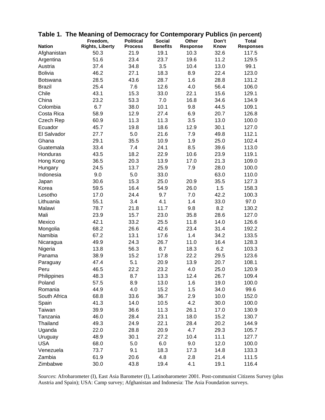|                | Table 1. The Meaning of Democracy for Contemporary Publics (in percent) |                  |                 |                 |             |                  |
|----------------|-------------------------------------------------------------------------|------------------|-----------------|-----------------|-------------|------------------|
|                | Freedom,                                                                | <b>Political</b> | <b>Social</b>   | Other           | Don't       | <b>Total</b>     |
| <b>Nation</b>  | <b>Rights, Liberty</b>                                                  | <b>Process</b>   | <b>Benefits</b> | <b>Response</b> | <b>Know</b> | <b>Responses</b> |
| Afghanistan    | 50.3                                                                    | 21.9             | 19.1            | 10.3            | 32.6        | 117.5            |
| Argentina      | 51.6                                                                    | 23.4             | 23.7            | 19.6            | 11.2        | 129.5            |
| Austria        | 37.4                                                                    | 34.8             | 3.5             | 10.4            | 13.0        | 99.1             |
| <b>Bolivia</b> | 46.2                                                                    | 27.1             | 18.3            | 8.9             | 22.4        | 123.0            |
| Botswana       | 28.5                                                                    | 43.6             | 28.7            | 1.6             | 28.8        | 131.2            |
| <b>Brazil</b>  | 25.4                                                                    | 7.6              | 12.6            | 4.0             | 56.4        | 106.0            |
| Chile          | 43.1                                                                    | 15.3             | 33.0            | 22.1            | 15.6        | 129.1            |
| China          | 23.2                                                                    | 53.3             | 7.0             | 16.8            | 34.6        | 134.9            |
| Colombia       | 6.7                                                                     | 38.0             | 10.1            | 9.8             | 44.5        | 109.1            |
| Costa Rica     | 58.9                                                                    | 12.9             | 27.4            | 6.9             | 20.7        | 126.8            |
| Czech Rep      | 60.9                                                                    | 11.3             | 11.3            | 3.5             | 13.0        | 100.0            |
| Ecuador        | 45.7                                                                    | 19.8             | 18.6            | 12.9            | 30.1        | 127.0            |
| El Salvador    | 27.7                                                                    | 5.0              | 21.6            | 7.9             | 49.8        | 112.1            |
| Ghana          | 29.1                                                                    | 35.5             | 10.9            | 1.9             | 25.0        | 102.4            |
| Guatemala      | 33.4                                                                    | 7.4              | 24.1            | 8.5             | 39.6        | 113.0            |
| Honduras       | 43.5                                                                    | 18.2             | 22.9            | 10.6            | 23.9        | 119.1            |
| Hong Kong      | 36.5                                                                    | 20.3             | 13.9            | 17.0            | 21.3        | 109.0            |
| Hungary        | 24.5                                                                    | 13.7             | 25.9            | 7.9             | 28.0        | 100.0            |
| Indonesia      | 9.0                                                                     | 5.0              | 33.0            |                 | 63.0        | 110.0            |
| Japan          | 30.6                                                                    | 15.3             | 25.0            | 20.9            | 35.5        | 127.3            |
| Korea          | 59.5                                                                    | 16.4             | 54.9            | 26.0            | 1.5         | 158.3            |
| Lesotho        | 17.0                                                                    | 24.4             | 9.7             | 7.0             | 42.2        | 100.3            |
| Lithuania      | 55.1                                                                    | 3.4              | 4.1             | 1.4             | 33.0        | 97.0             |
| Malawi         | 78.7                                                                    | 21.8             | 11.7            | 9.8             | 8.2         | 130.2            |
| Mali           | 23.9                                                                    | 15.7             | 23.0            | 35.8            | 28.6        | 127.0            |
| Mexico         | 42.1                                                                    | 33.2             | 25.5            | 11.8            | 14.0        | 126.6            |
| Mongolia       | 68.2                                                                    | 26.6             | 42.6            | 23.4            | 31.4        | 192.2            |
| Namibia        | 67.2                                                                    | 13.1             | 17.6            | 1.4             | 34.2        | 133.5            |
| Nicaragua      | 49.9                                                                    | 24.3             | 26.7            | 11.0            | 16.4        | 128.3            |
| Nigeria        | 13.8                                                                    | 56.3             | 8.7             | 18.3            | 6.2         | 103.3            |
| Panama         | 38.9                                                                    | 15.2             | 17.8            | 22.2            | 29.5        | 123.6            |
| Paraguay       | 47.4                                                                    | 5.1              | 20.9            | 13.9            | 20.7        | 108.1            |
| Peru           | 46.5                                                                    | 22.2             | 23.2            | 4.0             | 25.0        | 120.9            |
| Philippines    | 48.3                                                                    | 8.7              | 13.3            | 12.4            | 26.7        | 109.4            |
| Poland         | 57.5                                                                    | 8.9              | 13.0            | 1.6             | 19.0        | 100.0            |
| Romania        | 44.9                                                                    | 4.0              | 15.2            | 1.5             | 34.0        | 99.6             |
| South Africa   | 68.8                                                                    | 33.6             | 36.7            | 2.9             | 10.0        | 152.0            |
| Spain          | 41.3                                                                    | 14.0             | 10.5            | 4.2             | 30.0        | 100.0            |
| Taiwan         | 39.9                                                                    | 36.6             | 11.3            | 26.1            | 17.0        | 130.9            |
| Tanzania       | 46.0                                                                    | 28.4             | 23.1            | 18.0            | 15.2        | 130.7            |
| Thailand       | 49.3                                                                    | 24.9             | 22.1            | 28.4            | 20.2        | 144.9            |
| Uganda         | 22.0                                                                    | 28.8             | 20.9            | 4.7             | 29.3        | 105.7            |
| Uruguay        | 48.9                                                                    | 30.1             | 27.2            | 10.4            | 11.1        | 127.7            |
| <b>USA</b>     | 68.0                                                                    | 5.0              | 6.0             | 9.0             | 12.0        | 100.0            |
| Venezuela      | 73.7                                                                    | 9.1              | 18.3            | 17.3            | 14.8        | 133.3            |
| Zambia         | 61.9                                                                    | 20.6             | 4.8             | 2.8             | 21.4        | 111.5            |
| Zimbabwe       | 30.0                                                                    | 43.8             | 19.4            | 4.1             | 19.1        | 116.4            |
|                |                                                                         |                  |                 |                 |             |                  |

*Sources*: Afrobarometer (I), East Asia Barometer (I), Latinobarometer 2001. Post-communist Citizens Survey (plus Austria and Spain); USA: Camp survey; Afghanistan and Indonesia: The Asia Foundation surveys.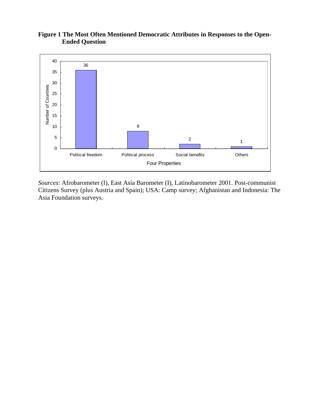# **Figure 1 The Most Often Mentioned Democratic Attributes in Responses to the Open- Ended Question**



*Sources*: Afrobarometer (I), East Asia Barometer (I), Latinobarometer 2001. Post-communist Citizens Survey (plus Austria and Spain); USA: Camp survey; Afghanistan and Indonesia: The Asia Foundation surveys.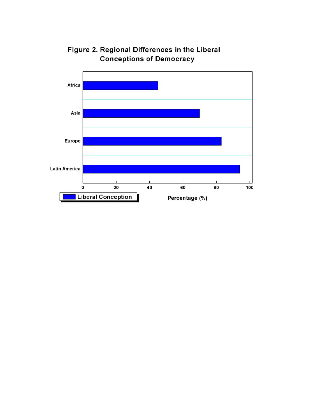

Figure 2. Regional Differences in the Liberal **Conceptions of Democracy**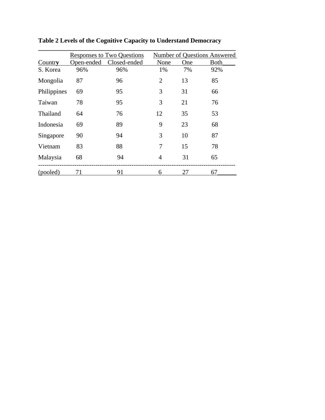|             | <b>Responses to Two Questions</b> | <b>Number of Questions Answered</b> |                |     |      |
|-------------|-----------------------------------|-------------------------------------|----------------|-----|------|
| Country     | Open-ended                        | Closed-ended                        | None           | One | Both |
| S. Korea    | 96%                               | 96%                                 | 1%             | 7%  | 92%  |
| Mongolia    | 87                                | 96                                  | $\overline{2}$ | 13  | 85   |
| Philippines | 69                                | 95                                  | 3              | 31  | 66   |
| Taiwan      | 78                                | 95                                  | 3              | 21  | 76   |
| Thailand    | 64                                | 76                                  | 12             | 35  | 53   |
| Indonesia   | 69                                | 89                                  | 9              | 23  | 68   |
| Singapore   | 90                                | 94                                  | 3              | 10  | 87   |
| Vietnam     | 83                                | 88                                  | 7              | 15  | 78   |
| Malaysia    | 68                                | 94                                  | 4              | 31  | 65   |
| (pooled)    | 71                                | 91                                  | 6              | 27  | 67   |

**Table 2 Levels of the Cognitive Capacity to Understand Democracy**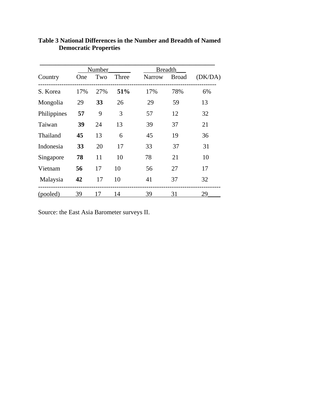|             | Number |     |       | <b>Breadth</b> |              |         |  |
|-------------|--------|-----|-------|----------------|--------------|---------|--|
| Country     | One    | Two | Three | Narrow         | <b>Broad</b> | (DK/DA) |  |
| S. Korea    | 17%    | 27% | 51%   | 17%            | 78%          | 6%      |  |
| Mongolia    | 29     | 33  | 26    | 29             | 59           | 13      |  |
| Philippines | 57     | 9   | 3     | 57             | 12           | 32      |  |
| Taiwan      | 39     | 24  | 13    | 39             | 37           | 21      |  |
| Thailand    | 45     | 13  | 6     | 45             | 19           | 36      |  |
| Indonesia   | 33     | 20  | 17    | 33             | 37           | 31      |  |
| Singapore   | 78     | 11  | 10    | 78             | 21           | 10      |  |
| Vietnam     | 56     | 17  | 10    | 56             | 27           | 17      |  |
| Malaysia    | 42     | 17  | 10    | 41             | 37           | 32      |  |
| (pooled)    | 39     | 17  | 14    | 39             | 31           | 29      |  |

# **Table 3 National Differences in the Number and Breadth of Named Democratic Properties**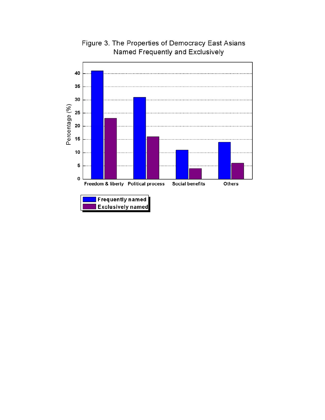

Figure 3. The Properties of Democracy East Asians Named Frequently and Exclusively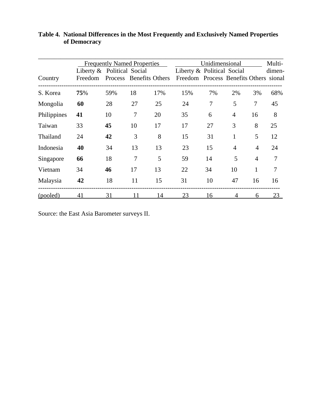|             |                                       | <b>Frequently Named Properties</b> |                |     |                                                                      | Unidimensional |                |                |        |
|-------------|---------------------------------------|------------------------------------|----------------|-----|----------------------------------------------------------------------|----------------|----------------|----------------|--------|
| Country     | Liberty & Political Social<br>Freedom | Process Benefits Others            |                |     | Liberty & Political Social<br>Freedom Process Benefits Others sional |                |                |                | dimen- |
| S. Korea    | 75%                                   | 59%                                | 18             | 17% | 15%                                                                  | 7%             | 2%             | 3%             | 68%    |
| Mongolia    | 60                                    | 28                                 | 27             | 25  | 24                                                                   | 7              | 5              | $\tau$         | 45     |
| Philippines | 41                                    | 10                                 | 7              | 20  | 35                                                                   | 6              | $\overline{4}$ | 16             | 8      |
| Taiwan      | 33                                    | 45                                 | 10             | 17  | 17                                                                   | 27             | 3              | 8              | 25     |
| Thailand    | 24                                    | 42                                 | 3              | 8   | 15                                                                   | 31             | $\mathbf{1}$   | 5              | 12     |
| Indonesia   | 40                                    | 34                                 | 13             | 13  | 23                                                                   | 15             | $\overline{4}$ | 4              | 24     |
| Singapore   | 66                                    | 18                                 | $\overline{7}$ | 5   | 59                                                                   | 14             | 5              | $\overline{4}$ | 7      |
| Vietnam     | 34                                    | 46                                 | 17             | 13  | 22                                                                   | 34             | 10             | 1              | 7      |
| Malaysia    | 42                                    | 18                                 | 11             | 15  | 31                                                                   | 10             | 47             | 16             | 16     |
| (pooled)    | 41                                    | 31                                 | 11             | 14  | 23                                                                   | 16             |                | 6              | 23     |

**Table 4. National Differences in the Most Frequently and Exclusively Named Properties of Democracy**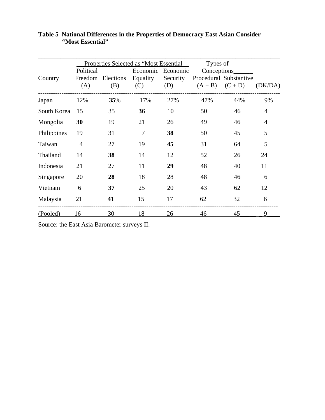|             |                |                            | Properties Selected as "Most Essential |          | Types of           |                        |                |
|-------------|----------------|----------------------------|----------------------------------------|----------|--------------------|------------------------|----------------|
|             | Political      |                            | Economic                               | Economic | <b>Conceptions</b> |                        |                |
| Country     |                | Freedom Elections Equality |                                        | Security |                    | Procedural Substantive |                |
|             | (A)            | (B)                        | (C)                                    | (D)      |                    | $(A + B)$ $(C + D)$    | (DK/DA)        |
| Japan       | 12%            | 35%                        | 17%                                    | 27%      | 47%                | 44%                    | 9%             |
| South Korea | 15             | 35                         | 36                                     | 10       | 50                 | 46                     | $\overline{4}$ |
| Mongolia    | 30             | 19                         | 21                                     | 26       | 49                 | 46                     | $\overline{4}$ |
| Philippines | 19             | 31                         | $\overline{7}$                         | 38       | 50                 | 45                     | 5              |
| Taiwan      | $\overline{4}$ | 27                         | 19                                     | 45       | 31                 | 64                     | 5              |
| Thailand    | 14             | 38                         | 14                                     | 12       | 52                 | 26                     | 24             |
| Indonesia   | 21             | 27                         | 11                                     | 29       | 48                 | 40                     | 11             |
| Singapore   | 20             | 28                         | 18                                     | 28       | 48                 | 46                     | 6              |
| Vietnam     | 6              | 37                         | 25                                     | 20       | 43                 | 62                     | 12             |
| Malaysia    | 21             | 41                         | 15                                     | 17       | 62                 | 32                     | 6              |
| (Pooled)    | 16             | 30                         | 18                                     | 26       | 46                 | 45                     | 9              |

# **Table 5 National Differences in the Properties of Democracy East Asian Consider "Most Essential"**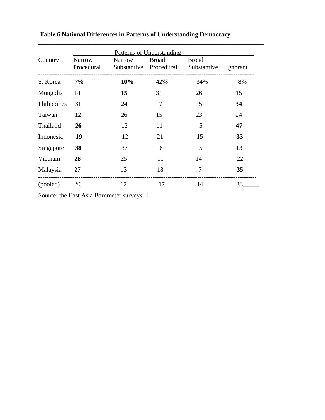|             | Patterns of Understanding |                  |       |                                               |                 |  |  |  |
|-------------|---------------------------|------------------|-------|-----------------------------------------------|-----------------|--|--|--|
| Country     | Narrow                    | Narrow           | Broad | <b>Broad</b>                                  |                 |  |  |  |
|             |                           |                  |       | Procedural Substantive Procedural Substantive | <b>Ignorant</b> |  |  |  |
| S. Korea    | 7%                        | $10\%$           | 42%   | 34%                                           | 8%              |  |  |  |
| Mongolia    | 14                        | 15 <sup>15</sup> | 31    | 26                                            | 15              |  |  |  |
| Philippines | 31                        | 24               | 7     | 5                                             | 34              |  |  |  |
| Taiwan      | 12                        | 26               | 15    | 23                                            | 24              |  |  |  |
| Thailand    | 26                        | 12               | 11    | 5                                             | 47              |  |  |  |
| Indonesia   | 19                        | 12               | 21    | 15                                            | 33              |  |  |  |
| Singapore   | 38                        | 37               | 6     | 5                                             | 13              |  |  |  |
| Vietnam     | 28                        | 25               | 11    | 14                                            | 22              |  |  |  |
| Malaysia    | 27                        | 13               | 18    | 7                                             | 35              |  |  |  |
| (pooled)    | 20                        | 17               | 17    | 14                                            | 33              |  |  |  |

# **Table 6 National Differences in Patterns of Understanding Democracy**

\_\_\_\_\_\_\_\_\_\_\_\_\_\_\_\_\_\_\_\_\_\_\_\_\_\_\_\_\_\_\_\_\_\_\_\_\_\_\_\_\_\_\_\_\_\_\_\_\_\_\_\_\_\_\_\_\_\_\_\_\_\_\_\_\_\_\_\_\_\_\_